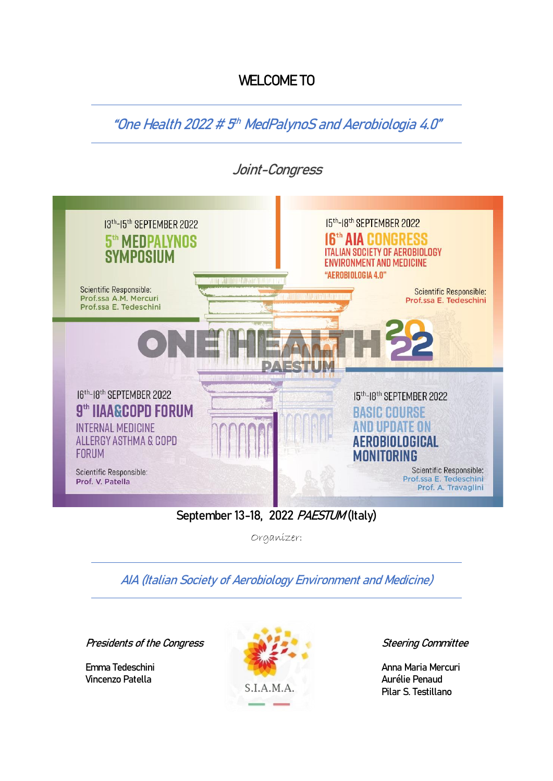## **WELCOME TO**

"**One Health 2022 # 5 th MedPalynoS and Aerobiologia 4.0"**



## **September 13-18, 2022 PAESTUM (Italy)**

Organizer:

**AIA (Italian Society of Aerobiology Environment and Medicine)**

**Presidents of the Congress Steering Committee**



Pilar S. Testillano